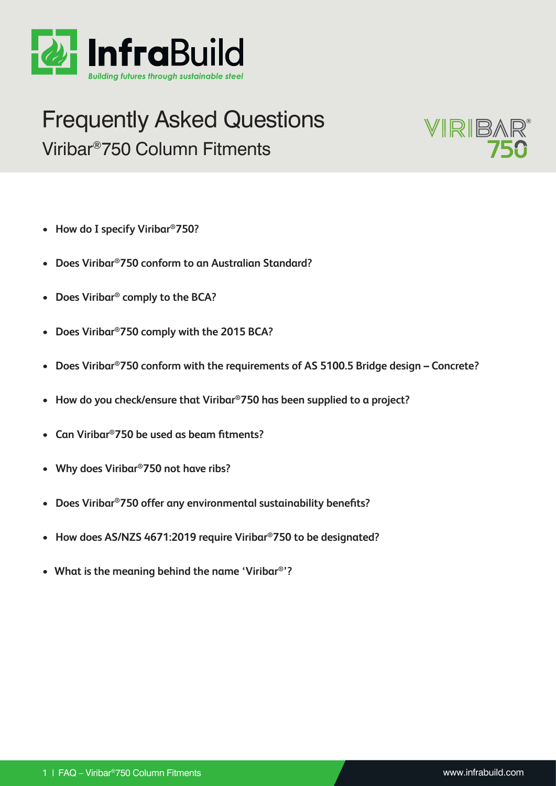<span id="page-0-0"></span>

# Frequently Asked Questions Viribar®750 Column Fitments



- **• [How do I specify Viribar®750?](#page-1-0)**
- **• [Does Viribar®750 conform to an Australian Standard](#page-1-1)?**
- **• [Does Viribar® comply to the BCA?](#page-1-2)**
- **• [Does Viribar®750 comply with the 2015 BCA?](#page-2-0)**
- **• [Does Viribar®750 conform with the requirements of AS 5100.5 Bridge design Concrete?](#page-2-1)**
- **• [How do you check/ensure that Viribar®750 has been supplied to a project?](#page-2-2)**
- **• Can Viribar®[750 be used as beam fitments?](#page-2-3)**
- **• [Why does Viribar®750 not have ribs?](#page-2-4)**
- **• Does Viribar®[750 offer any environmental sustainability benefits?](#page-3-0)**
- **• [How does AS/NZS 4671:2019 require Viribar®750 to be designated?](#page-3-1)**
- **• What is the meaning behind the name 'Viribar®'?**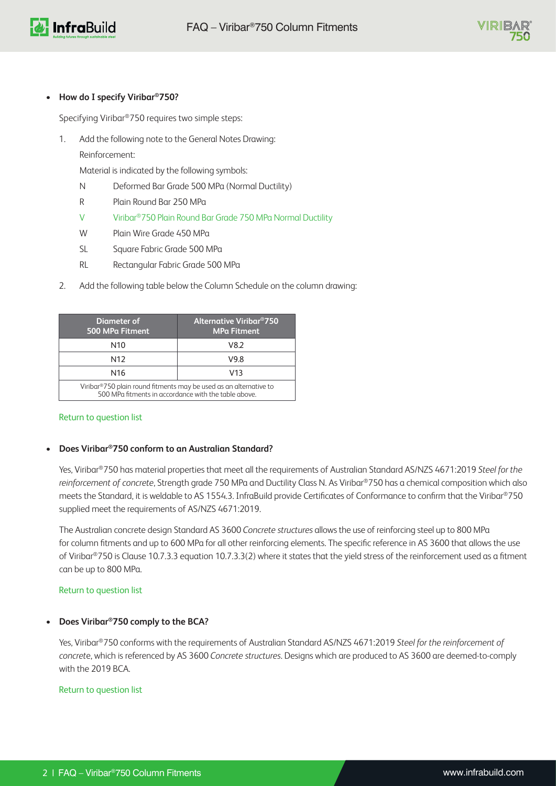



## <span id="page-1-0"></span>**• How do I specify Viribar®750?**

Specifying Viribar®750 requires two simple steps:

1. Add the following note to the General Notes Drawing:

Reinforcement:

Material is indicated by the following symbols:

- N Deformed Bar Grade 500 MPa (Normal Ductility)
- R Plain Round Bar 250 MPa
- V Viribar®750 Plain Round Bar Grade 750 MPa Normal Ductility
- W Plain Wire Grade 450 MPa
- SL Square Fabric Grade 500 MPa
- RL Rectangular Fabric Grade 500 MPa
- 2. Add the following table below the Column Schedule on the column drawing:

| Diameter of<br>500 MPa Fitment                                                                                            | <b>Alternative Viribar<sup>®</sup>750</b><br><b>MPa Fitment</b> |
|---------------------------------------------------------------------------------------------------------------------------|-----------------------------------------------------------------|
| N10                                                                                                                       | V8.2                                                            |
| N12                                                                                                                       | V9.8                                                            |
| N <sub>16</sub>                                                                                                           | V13                                                             |
| Viribar®750 plain round fitments may be used as an alternative to<br>500 MPa fitments in accordance with the table above. |                                                                 |

# [Return to question list](#page-0-0)

# <span id="page-1-1"></span>**• Does Viribar®750 conform to an Australian Standard?**

Yes, Viribar®750 has material properties that meet all the requirements of Australian Standard AS/NZS 4671:2019 *Steel for the reinforcement of concrete*, Strength grade 750 MPa and Ductility Class N. As Viribar®750 has a chemical composition which also meets the Standard, it is weldable to AS 1554.3. InfraBuild provide Certificates of Conformance to confirm that the Viribar®750 supplied meet the requirements of AS/NZS 4671:2019.

The Australian concrete design Standard AS 3600 *Concrete structures* allows the use of reinforcing steel up to 800 MPa for column fitments and up to 600 MPa for all other reinforcing elements. The specific reference in AS 3600 that allows the use of Viribar®750 is Clause 10.7.3.3 equation 10.7.3.3(2) where it states that the yield stress of the reinforcement used as a fitment can be up to 800 MPa.

### [Return to question list](#page-0-0)

# <span id="page-1-2"></span>**• Does Viribar®750 comply to the BCA?**

Yes, Viribar®750 conforms with the requirements of Australian Standard AS/NZS 4671:2019 *Steel for the reinforcement of concret*e, which is referenced by AS 3600 *Concrete structures*. Designs which are produced to AS 3600 are deemed-to-comply with the 2019 BCA.

## [Return to question list](#page-0-0)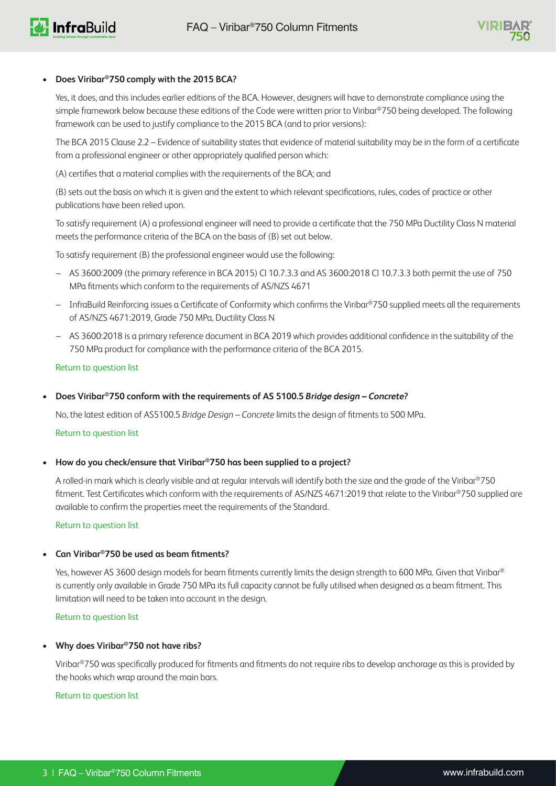

## **• Does Viribar®750 comply with the 2015 BCA?**

<span id="page-2-0"></span>Yes, it does, and this includes earlier editions of the BCA. However, designers will have to demonstrate compliance using the simple framework below because these editions of the Code were written prior to Viribar®750 being developed. The following framework can be used to justify compliance to the 2015 BCA (and to prior versions):

The BCA 2015 Clause 2.2 – Evidence of suitability states that evidence of material suitability may be in the form of a certificate from a professional engineer or other appropriately qualified person which:

(A) certifies that a material complies with the requirements of the BCA; and

(B) sets out the basis on which it is given and the extent to which relevant specifications, rules, codes of practice or other publications have been relied upon.

To satisfy requirement (A) a professional engineer will need to provide a certificate that the 750 MPa Ductility Class N material meets the performance criteria of the BCA on the basis of (B) set out below.

To satisfy requirement (B) the professional engineer would use the following:

- AS 3600:2009 (the primary reference in BCA 2015) Cl 10.7.3.3 and AS 3600:2018 Cl 10.7.3.3 both permit the use of 750 MPa fitments which conform to the requirements of AS/NZS 4671
- InfraBuild Reinforcing issues a Certificate of Conformity which confirms the Viribar®750 supplied meets all the requirements of AS/NZS 4671:2019, Grade 750 MPa, Ductility Class N
- AS 3600:2018 is a primary reference document in BCA 2019 which provides additional confidence in the suitability of the 750 MPa product for compliance with the performance criteria of the BCA 2015.

### [Return to question list](#page-0-0)

<span id="page-2-1"></span>**• Does Viribar®750 conform with the requirements of AS 5100.5** *Bridge design – Concrete***?**

No, the latest edition of AS5100.5 *Bridge Design – Concrete* limits the design of fitments to 500 MPa.

### [Return to question list](#page-0-0)

<span id="page-2-2"></span>**• How do you check/ensure that Viribar®750 has been supplied to a project?**

A rolled-in mark which is clearly visible and at regular intervals will identify both the size and the grade of the Viribar®750 fitment. Test Certificates which conform with the requirements of AS/NZS 4671:2019 that relate to the Viribar®750 supplied are available to confirm the properties meet the requirements of the Standard.

[Return to question list](#page-0-0)

### <span id="page-2-3"></span>**• Can Viribar®750 be used as beam fitments?**

Yes, however AS 3600 design models for beam fitments currently limits the design strength to 600 MPa. Given that Viribar® is currently only available in Grade 750 MPa its full capacity cannot be fully utilised when designed as a beam fitment. This limitation will need to be taken into account in the design.

[Return to question list](#page-0-0)

### <span id="page-2-4"></span>**• Why does Viribar®750 not have ribs?**

Viribar®750 was specifically produced for fitments and fitments do not require ribs to develop anchorage as this is provided by the hooks which wrap around the main bars.

[Return to question list](#page-0-0)